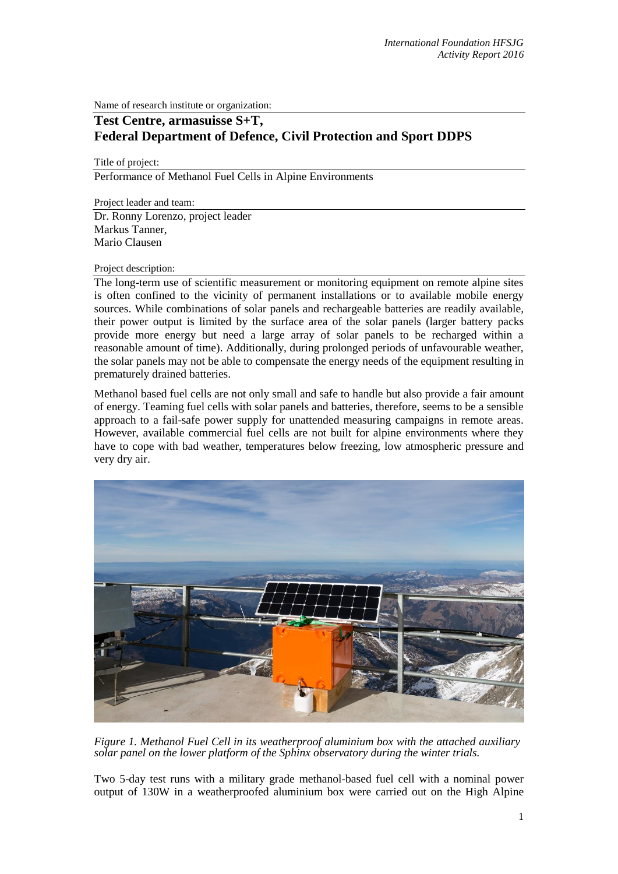Name of research institute or organization:

## **Test Centre, armasuisse S+T, Federal Department of Defence, Civil Protection and Sport DDPS**

Title of project:

Performance of Methanol Fuel Cells in Alpine Environments

Project leader and team:

Dr. Ronny Lorenzo, project leader Markus Tanner, Mario Clausen

## Project description:

The long-term use of scientific measurement or monitoring equipment on remote alpine sites is often confined to the vicinity of permanent installations or to available mobile energy sources. While combinations of solar panels and rechargeable batteries are readily available, their power output is limited by the surface area of the solar panels (larger battery packs provide more energy but need a large array of solar panels to be recharged within a reasonable amount of time). Additionally, during prolonged periods of unfavourable weather, the solar panels may not be able to compensate the energy needs of the equipment resulting in prematurely drained batteries.

Methanol based fuel cells are not only small and safe to handle but also provide a fair amount of energy. Teaming fuel cells with solar panels and batteries, therefore, seems to be a sensible approach to a fail-safe power supply for unattended measuring campaigns in remote areas. However, available commercial fuel cells are not built for alpine environments where they have to cope with bad weather, temperatures below freezing, low atmospheric pressure and very dry air.



*Figure 1. Methanol Fuel Cell in its weatherproof aluminium box with the attached auxiliary solar panel on the lower platform of the Sphinx observatory during the winter trials.*

Two 5-day test runs with a military grade methanol-based fuel cell with a nominal power output of 130W in a weatherproofed aluminium box were carried out on the High Alpine